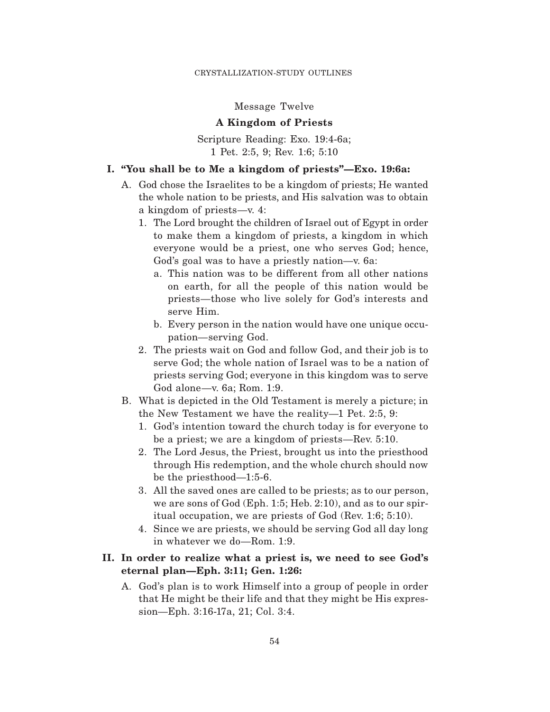### Message Twelve

### **A Kingdom of Priests**

Scripture Reading: Exo. 19:4-6a; 1 Pet. 2:5, 9; Rev. 1:6; 5:10

### **I. "You shall be to Me a kingdom of priests"—Exo. 19:6a:**

- A. God chose the Israelites to be a kingdom of priests; He wanted the whole nation to be priests, and His salvation was to obtain a kingdom of priests—v. 4:
	- 1. The Lord brought the children of Israel out of Egypt in order to make them a kingdom of priests, a kingdom in which everyone would be a priest, one who serves God; hence, God's goal was to have a priestly nation—v. 6a:
		- a. This nation was to be different from all other nations on earth, for all the people of this nation would be priests—those who live solely for God's interests and serve Him.
		- b. Every person in the nation would have one unique occupation—serving God.
	- 2. The priests wait on God and follow God, and their job is to serve God; the whole nation of Israel was to be a nation of priests serving God; everyone in this kingdom was to serve God alone—v. 6a; Rom. 1:9.
- B. What is depicted in the Old Testament is merely a picture; in the New Testament we have the reality—1 Pet. 2:5, 9:
	- 1. God's intention toward the church today is for everyone to be a priest; we are a kingdom of priests—Rev. 5:10.
	- 2. The Lord Jesus, the Priest, brought us into the priesthood through His redemption, and the whole church should now be the priesthood—1:5-6.
	- 3. All the saved ones are called to be priests; as to our person, we are sons of God (Eph. 1:5; Heb. 2:10), and as to our spiritual occupation, we are priests of God (Rev. 1:6; 5:10).
	- 4. Since we are priests, we should be serving God all day long in whatever we do—Rom. 1:9.

# **II. In order to realize what a priest is, we need to see God's eternal plan—Eph. 3:11; Gen. 1:26:**

A. God's plan is to work Himself into a group of people in order that He might be their life and that they might be His expression—Eph. 3:16-17a, 21; Col. 3:4.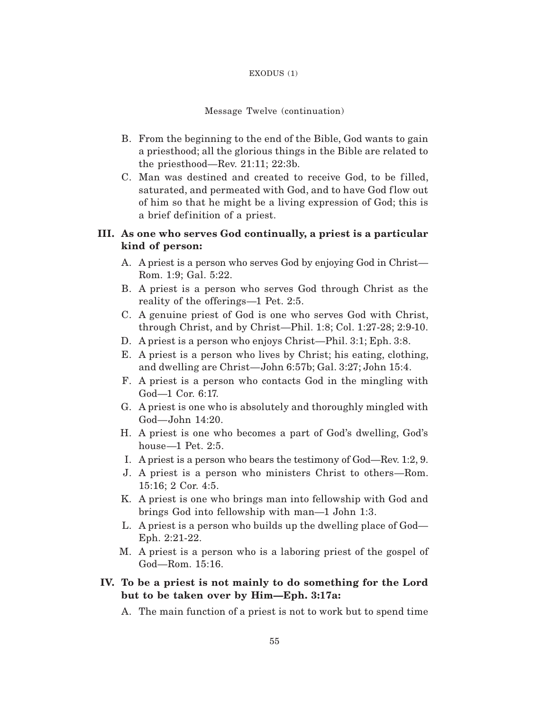#### EXODUS (1)

#### Message Twelve (continuation)

- B. From the beginning to the end of the Bible, God wants to gain a priesthood; all the glorious things in the Bible are related to the priesthood—Rev. 21:11; 22:3b.
- C. Man was destined and created to receive God, to be filled, saturated, and permeated with God, and to have God flow out of him so that he might be a living expression of God; this is a brief definition of a priest.

# **III. As one who serves God continually, a priest is a particular kind of person:**

- A. A priest is a person who serves God by enjoying God in Christ— Rom. 1:9; Gal. 5:22.
- B. A priest is a person who serves God through Christ as the reality of the offerings—1 Pet. 2:5.
- C. A genuine priest of God is one who serves God with Christ, through Christ, and by Christ—Phil. 1:8; Col. 1:27-28; 2:9-10.
- D. A priest is a person who enjoys Christ—Phil. 3:1; Eph. 3:8.
- E. A priest is a person who lives by Christ; his eating, clothing, and dwelling are Christ—John 6:57b; Gal. 3:27; John 15:4.
- F. A priest is a person who contacts God in the mingling with God—1 Cor. 6:17.
- G. A priest is one who is absolutely and thoroughly mingled with God—John 14:20.
- H. A priest is one who becomes a part of God's dwelling, God's house—1 Pet. 2:5.
- I. A priest is a person who bears the testimony of God—Rev. 1:2, 9.
- J. A priest is a person who ministers Christ to others—Rom. 15:16; 2 Cor. 4:5.
- K. A priest is one who brings man into fellowship with God and brings God into fellowship with man—1 John 1:3.
- L. A priest is a person who builds up the dwelling place of God— Eph. 2:21-22.
- M. A priest is a person who is a laboring priest of the gospel of God—Rom. 15:16.
- **IV. To be a priest is not mainly to do something for the Lord but to be taken over by Him—Eph. 3:17a:**
	- A. The main function of a priest is not to work but to spend time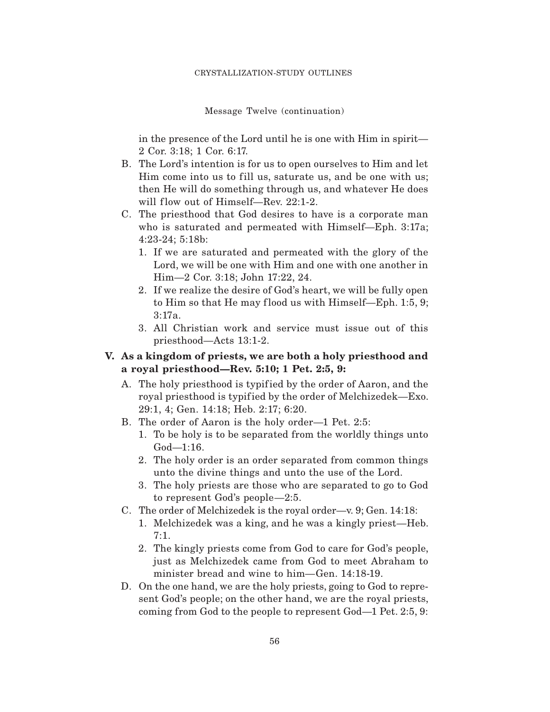Message Twelve (continuation)

in the presence of the Lord until he is one with Him in spirit— 2 Cor. 3:18; 1 Cor. 6:17.

- B. The Lord's intention is for us to open ourselves to Him and let Him come into us to fill us, saturate us, and be one with us; then He will do something through us, and whatever He does will flow out of Himself—Rev. 22:1-2.
- C. The priesthood that God desires to have is a corporate man who is saturated and permeated with Himself—Eph. 3:17a; 4:23-24; 5:18b:
	- 1. If we are saturated and permeated with the glory of the Lord, we will be one with Him and one with one another in Him—2 Cor. 3:18; John 17:22, 24.
	- 2. If we realize the desire of God's heart, we will be fully open to Him so that He may f lood us with Himself—Eph. 1:5, 9; 3:17a.
	- 3. All Christian work and service must issue out of this priesthood—Acts 13:1-2.

### **V. As a kingdom of priests, we are both a holy priesthood and a royal priesthood—Rev. 5:10; 1 Pet. 2:5, 9:**

- A. The holy priesthood is typif ied by the order of Aaron, and the royal priesthood is typif ied by the order of Melchizedek—Exo. 29:1, 4; Gen. 14:18; Heb. 2:17; 6:20.
- B. The order of Aaron is the holy order—1 Pet. 2:5:
	- 1. To be holy is to be separated from the worldly things unto God—1:16.
	- 2. The holy order is an order separated from common things unto the divine things and unto the use of the Lord.
	- 3. The holy priests are those who are separated to go to God to represent God's people—2:5.
- C. The order of Melchizedek is the royal order—v. 9; Gen. 14:18:
	- 1. Melchizedek was a king, and he was a kingly priest—Heb. 7:1.
	- 2. The kingly priests come from God to care for God's people, just as Melchizedek came from God to meet Abraham to minister bread and wine to him—Gen. 14:18-19.
- D. On the one hand, we are the holy priests, going to God to represent God's people; on the other hand, we are the royal priests, coming from God to the people to represent God—1 Pet. 2:5, 9: